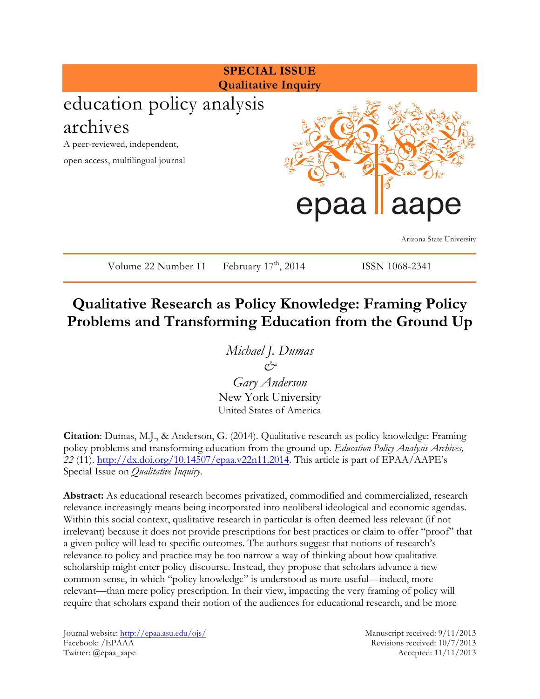

# **Qualitative Research as Policy Knowledge: Framing Policy Problems and Transforming Education from the Ground Up**

*Michael J. Dumas & Gary Anderson* New York University

United States of America

**Citation**: Dumas, M.J., & Anderson, G. (2014). Qualitative research as policy knowledge: Framing policy problems and transforming education from the ground up. *Education Policy Analysis Archives, 22* (11). http://dx.doi.org/10.14507/epaa.v22n11.2014. This article is part of EPAA/AAPE's Special Issue on *Qualitative Inquiry*.

**Abstract:** As educational research becomes privatized, commodified and commercialized, research relevance increasingly means being incorporated into neoliberal ideological and economic agendas. Within this social context, qualitative research in particular is often deemed less relevant (if not irrelevant) because it does not provide prescriptions for best practices or claim to offer "proof" that a given policy will lead to specific outcomes. The authors suggest that notions of research's relevance to policy and practice may be too narrow a way of thinking about how qualitative scholarship might enter policy discourse. Instead, they propose that scholars advance a new common sense, in which "policy knowledge" is understood as more useful—indeed, more relevant—than mere policy prescription. In their view, impacting the very framing of policy will require that scholars expand their notion of the audiences for educational research, and be more

Journal website: http://epaa.asu.edu/ojs/ Manuscript received: 9/11/2013 Facebook: /EPAAA Revisions received: 10/7/2013 Twitter: @epaa\_aape Accepted: 11/11/2013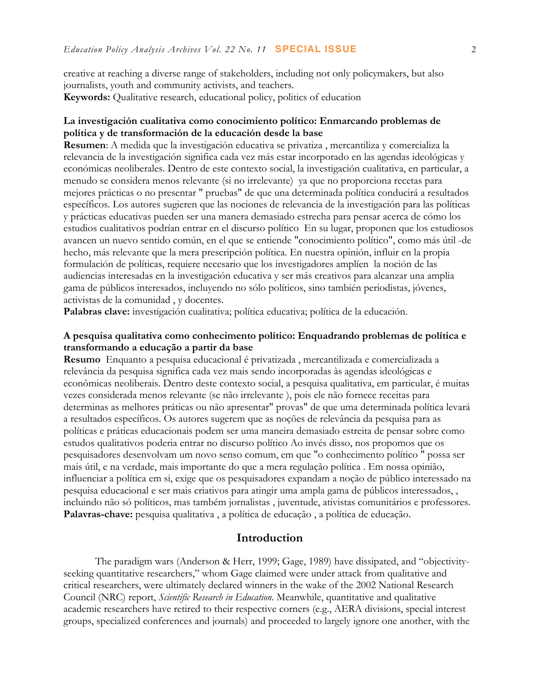creative at reaching a diverse range of stakeholders, including not only policymakers, but also journalists, youth and community activists, and teachers. **Keywords:** Qualitative research, educational policy, politics of education

#### **La investigación cualitativa como conocimiento político: Enmarcando problemas de política y de transformación de la educación desde la base**

**Resumen**: A medida que la investigación educativa se privatiza , mercantiliza y comercializa la relevancia de la investigación significa cada vez más estar incorporado en las agendas ideológicas y económicas neoliberales. Dentro de este contexto social, la investigación cualitativa, en particular, a menudo se considera menos relevante (si no irrelevante) ya que no proporciona recetas para mejores prácticas o no presentar " pruebas" de que una determinada política conducirá a resultados específicos. Los autores sugieren que las nociones de relevancia de la investigación para las políticas y prácticas educativas pueden ser una manera demasiado estrecha para pensar acerca de cómo los estudios cualitativos podrían entrar en el discurso político En su lugar, proponen que los estudiosos avancen un nuevo sentido común, en el que se entiende "conocimiento político", como más útil -de hecho, más relevante que la mera prescripción política. En nuestra opinión, influir en la propia formulación de políticas, requiere necesario que los investigadores amplíen la noción de las audiencias interesadas en la investigación educativa y ser más creativos para alcanzar una amplia gama de públicos interesados, incluyendo no sólo políticos, sino también periodistas, jóvenes, activistas de la comunidad , y docentes.

**Palabras clave:** investigación cualitativa; política educativa; política de la educación.

#### **A pesquisa qualitativa como conhecimento político: Enquadrando problemas de política e transformando a educação a partir da base**

**Resumo** Enquanto a pesquisa educacional é privatizada , mercantilizada e comercializada a relevância da pesquisa significa cada vez mais sendo incorporadas às agendas ideológicas e econômicas neoliberais. Dentro deste contexto social, a pesquisa qualitativa, em particular, é muitas vezes considerada menos relevante (se não irrelevante ), pois ele não fornece receitas para determinas as melhores práticas ou não apresentar" provas" de que uma determinada política levará a resultados específicos. Os autores sugerem que as noções de relevância da pesquisa para as políticas e práticas educacionais podem ser uma maneira demasiado estreita de pensar sobre como estudos qualitativos poderia entrar no discurso político Ao invés disso, nos propomos que os pesquisadores desenvolvam um novo senso comum, em que "o conhecimento político " possa ser mais útil, e na verdade, mais importante do que a mera regulação política . Em nossa opinião, influenciar a política em si, exige que os pesquisadores expandam a noção de público interessado na pesquisa educacional e ser mais criativos para atingir uma ampla gama de públicos interessados, , incluindo não só políticos, mas também jornalistas , juventude, ativistas comunitários e professores. **Palavras-chave:** pesquisa qualitativa , a política de educação , a política de educação.

#### **Introduction**

The paradigm wars (Anderson & Herr, 1999; Gage, 1989) have dissipated, and "objectivityseeking quantitative researchers," whom Gage claimed were under attack from qualitative and critical researchers, were ultimately declared winners in the wake of the 2002 National Research Council (NRC) report, *Scientific Research in Education*. Meanwhile, quantitative and qualitative academic researchers have retired to their respective corners (e.g., AERA divisions, special interest groups, specialized conferences and journals) and proceeded to largely ignore one another, with the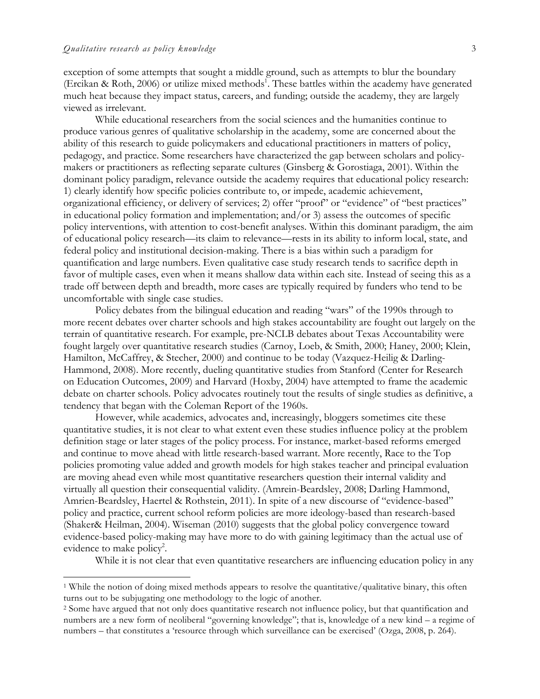exception of some attempts that sought a middle ground, such as attempts to blur the boundary (Ercikan & Roth, 2006) or utilize mixed methods<sup>1</sup>. These battles within the academy have generated much heat because they impact status, careers, and funding; outside the academy, they are largely viewed as irrelevant.

While educational researchers from the social sciences and the humanities continue to produce various genres of qualitative scholarship in the academy, some are concerned about the ability of this research to guide policymakers and educational practitioners in matters of policy, pedagogy, and practice. Some researchers have characterized the gap between scholars and policymakers or practitioners as reflecting separate cultures (Ginsberg & Gorostiaga, 2001). Within the dominant policy paradigm, relevance outside the academy requires that educational policy research: 1) clearly identify how specific policies contribute to, or impede, academic achievement, organizational efficiency, or delivery of services; 2) offer "proof" or "evidence" of "best practices" in educational policy formation and implementation; and/or 3) assess the outcomes of specific policy interventions, with attention to cost-benefit analyses. Within this dominant paradigm, the aim of educational policy research—its claim to relevance—rests in its ability to inform local, state, and federal policy and institutional decision-making. There is a bias within such a paradigm for quantification and large numbers. Even qualitative case study research tends to sacrifice depth in favor of multiple cases, even when it means shallow data within each site. Instead of seeing this as a trade off between depth and breadth, more cases are typically required by funders who tend to be uncomfortable with single case studies.

Policy debates from the bilingual education and reading "wars" of the 1990s through to more recent debates over charter schools and high stakes accountability are fought out largely on the terrain of quantitative research. For example, pre-NCLB debates about Texas Accountability were fought largely over quantitative research studies (Carnoy, Loeb, & Smith, 2000; Haney, 2000; Klein, Hamilton, McCaffrey, & Stecher, 2000) and continue to be today (Vazquez-Heilig & Darling-Hammond, 2008). More recently, dueling quantitative studies from Stanford (Center for Research on Education Outcomes, 2009) and Harvard (Hoxby, 2004) have attempted to frame the academic debate on charter schools. Policy advocates routinely tout the results of single studies as definitive, a tendency that began with the Coleman Report of the 1960s.

However, while academics, advocates and, increasingly, bloggers sometimes cite these quantitative studies, it is not clear to what extent even these studies influence policy at the problem definition stage or later stages of the policy process. For instance, market-based reforms emerged and continue to move ahead with little research-based warrant. More recently, Race to the Top policies promoting value added and growth models for high stakes teacher and principal evaluation are moving ahead even while most quantitative researchers question their internal validity and virtually all question their consequential validity. (Amrein-Beardsley, 2008; Darling Hammond, Amrien-Beardsley, Haertel & Rothstein, 2011). In spite of a new discourse of "evidence-based" policy and practice, current school reform policies are more ideology-based than research-based (Shaker& Heilman, 2004). Wiseman (2010) suggests that the global policy convergence toward evidence-based policy-making may have more to do with gaining legitimacy than the actual use of evidence to make policy<sup>2</sup>.

While it is not clear that even quantitative researchers are influencing education policy in any

<sup>1</sup> While the notion of doing mixed methods appears to resolve the quantitative/qualitative binary, this often turns out to be subjugating one methodology to the logic of another.

<sup>2</sup> Some have argued that not only does quantitative research not influence policy, but that quantification and numbers are a new form of neoliberal "governing knowledge"; that is, knowledge of a new kind – a regime of numbers – that constitutes a 'resource through which surveillance can be exercised' (Ozga, 2008, p. 264).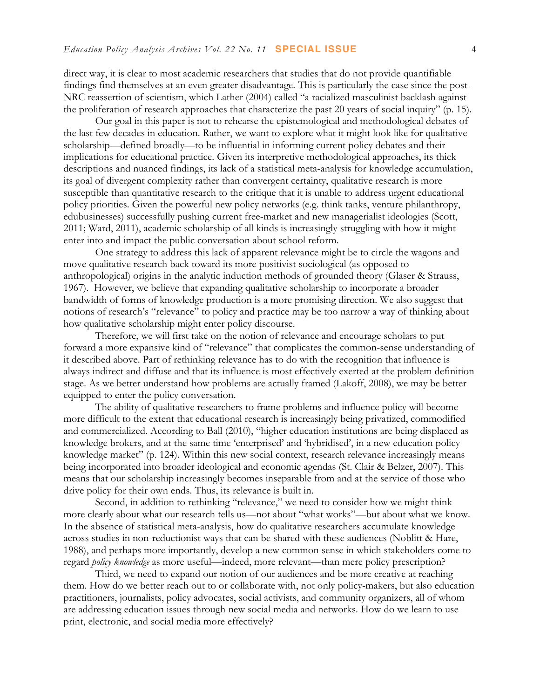direct way, it is clear to most academic researchers that studies that do not provide quantifiable findings find themselves at an even greater disadvantage. This is particularly the case since the post-NRC reassertion of scientism, which Lather (2004) called "a racialized masculinist backlash against the proliferation of research approaches that characterize the past 20 years of social inquiry" (p. 15).

Our goal in this paper is not to rehearse the epistemological and methodological debates of the last few decades in education. Rather, we want to explore what it might look like for qualitative scholarship—defined broadly—to be influential in informing current policy debates and their implications for educational practice. Given its interpretive methodological approaches, its thick descriptions and nuanced findings, its lack of a statistical meta-analysis for knowledge accumulation, its goal of divergent complexity rather than convergent certainty, qualitative research is more susceptible than quantitative research to the critique that it is unable to address urgent educational policy priorities. Given the powerful new policy networks (e.g. think tanks, venture philanthropy, edubusinesses) successfully pushing current free-market and new managerialist ideologies (Scott, 2011; Ward, 2011), academic scholarship of all kinds is increasingly struggling with how it might enter into and impact the public conversation about school reform.

One strategy to address this lack of apparent relevance might be to circle the wagons and move qualitative research back toward its more positivist sociological (as opposed to anthropological) origins in the analytic induction methods of grounded theory (Glaser & Strauss, 1967). However, we believe that expanding qualitative scholarship to incorporate a broader bandwidth of forms of knowledge production is a more promising direction. We also suggest that notions of research's "relevance" to policy and practice may be too narrow a way of thinking about how qualitative scholarship might enter policy discourse.

Therefore, we will first take on the notion of relevance and encourage scholars to put forward a more expansive kind of "relevance" that complicates the common-sense understanding of it described above. Part of rethinking relevance has to do with the recognition that influence is always indirect and diffuse and that its influence is most effectively exerted at the problem definition stage. As we better understand how problems are actually framed (Lakoff, 2008), we may be better equipped to enter the policy conversation.

The ability of qualitative researchers to frame problems and influence policy will become more difficult to the extent that educational research is increasingly being privatized, commodified and commercialized. According to Ball (2010), "higher education institutions are being displaced as knowledge brokers, and at the same time 'enterprised' and 'hybridised', in a new education policy knowledge market" (p. 124). Within this new social context, research relevance increasingly means being incorporated into broader ideological and economic agendas (St. Clair & Belzer, 2007). This means that our scholarship increasingly becomes inseparable from and at the service of those who drive policy for their own ends. Thus, its relevance is built in.

Second, in addition to rethinking "relevance," we need to consider how we might think more clearly about what our research tells us—not about "what works"—but about what we know. In the absence of statistical meta-analysis, how do qualitative researchers accumulate knowledge across studies in non-reductionist ways that can be shared with these audiences (Noblitt & Hare, 1988), and perhaps more importantly, develop a new common sense in which stakeholders come to regard *policy knowledge* as more useful—indeed, more relevant—than mere policy prescription?

Third, we need to expand our notion of our audiences and be more creative at reaching them. How do we better reach out to or collaborate with, not only policy-makers, but also education practitioners, journalists, policy advocates, social activists, and community organizers, all of whom are addressing education issues through new social media and networks. How do we learn to use print, electronic, and social media more effectively?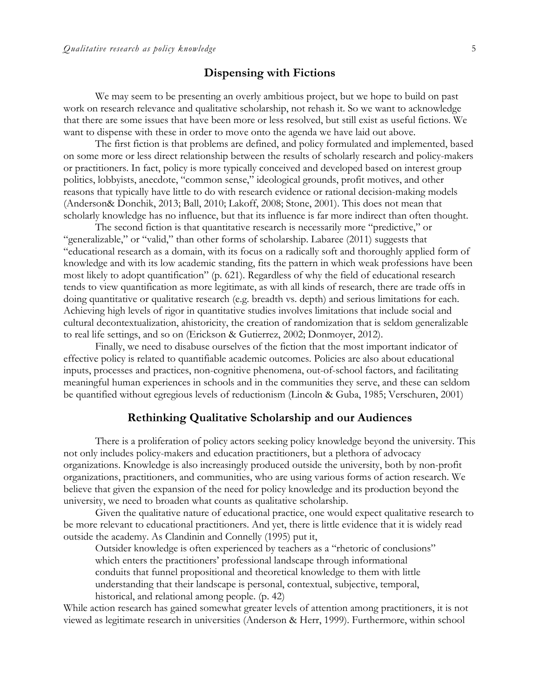#### **Dispensing with Fictions**

We may seem to be presenting an overly ambitious project, but we hope to build on past work on research relevance and qualitative scholarship, not rehash it. So we want to acknowledge that there are some issues that have been more or less resolved, but still exist as useful fictions. We want to dispense with these in order to move onto the agenda we have laid out above.

The first fiction is that problems are defined, and policy formulated and implemented, based on some more or less direct relationship between the results of scholarly research and policy-makers or practitioners. In fact, policy is more typically conceived and developed based on interest group politics, lobbyists, anecdote, "common sense," ideological grounds, profit motives, and other reasons that typically have little to do with research evidence or rational decision-making models (Anderson& Donchik, 2013; Ball, 2010; Lakoff, 2008; Stone, 2001). This does not mean that scholarly knowledge has no influence, but that its influence is far more indirect than often thought.

The second fiction is that quantitative research is necessarily more "predictive," or "generalizable," or "valid," than other forms of scholarship. Labaree (2011) suggests that "educational research as a domain, with its focus on a radically soft and thoroughly applied form of knowledge and with its low academic standing, fits the pattern in which weak professions have been most likely to adopt quantification" (p. 621). Regardless of why the field of educational research tends to view quantification as more legitimate, as with all kinds of research, there are trade offs in doing quantitative or qualitative research (e.g. breadth vs. depth) and serious limitations for each. Achieving high levels of rigor in quantitative studies involves limitations that include social and cultural decontextualization, ahistoricity, the creation of randomization that is seldom generalizable to real life settings, and so on (Erickson & Gutierrez, 2002; Donmoyer, 2012).

Finally, we need to disabuse ourselves of the fiction that the most important indicator of effective policy is related to quantifiable academic outcomes. Policies are also about educational inputs, processes and practices, non-cognitive phenomena, out-of-school factors, and facilitating meaningful human experiences in schools and in the communities they serve, and these can seldom be quantified without egregious levels of reductionism (Lincoln & Guba, 1985; Verschuren, 2001)

#### **Rethinking Qualitative Scholarship and our Audiences**

There is a proliferation of policy actors seeking policy knowledge beyond the university. This not only includes policy-makers and education practitioners, but a plethora of advocacy organizations. Knowledge is also increasingly produced outside the university, both by non-profit organizations, practitioners, and communities, who are using various forms of action research. We believe that given the expansion of the need for policy knowledge and its production beyond the university, we need to broaden what counts as qualitative scholarship.

Given the qualitative nature of educational practice, one would expect qualitative research to be more relevant to educational practitioners. And yet, there is little evidence that it is widely read outside the academy. As Clandinin and Connelly (1995) put it,

Outsider knowledge is often experienced by teachers as a "rhetoric of conclusions" which enters the practitioners' professional landscape through informational conduits that funnel propositional and theoretical knowledge to them with little understanding that their landscape is personal, contextual, subjective, temporal, historical, and relational among people. (p. 42)

While action research has gained somewhat greater levels of attention among practitioners, it is not viewed as legitimate research in universities (Anderson & Herr, 1999). Furthermore, within school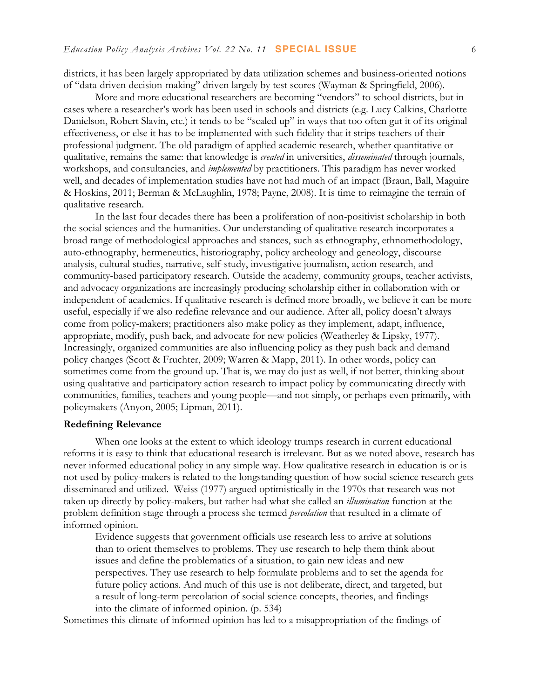districts, it has been largely appropriated by data utilization schemes and business-oriented notions of "data-driven decision-making" driven largely by test scores (Wayman & Springfield, 2006).

More and more educational researchers are becoming "vendors" to school districts, but in cases where a researcher's work has been used in schools and districts (e.g. Lucy Calkins, Charlotte Danielson, Robert Slavin, etc.) it tends to be "scaled up" in ways that too often gut it of its original effectiveness, or else it has to be implemented with such fidelity that it strips teachers of their professional judgment. The old paradigm of applied academic research, whether quantitative or qualitative, remains the same: that knowledge is *created* in universities, *disseminated* through journals, workshops, and consultancies, and *implemented* by practitioners. This paradigm has never worked well, and decades of implementation studies have not had much of an impact (Braun, Ball, Maguire & Hoskins, 2011; Berman & McLaughlin, 1978; Payne, 2008). It is time to reimagine the terrain of qualitative research.

In the last four decades there has been a proliferation of non-positivist scholarship in both the social sciences and the humanities. Our understanding of qualitative research incorporates a broad range of methodological approaches and stances, such as ethnography, ethnomethodology, auto-ethnography, hermeneutics, historiography, policy archeology and geneology, discourse analysis, cultural studies, narrative, self-study, investigative journalism, action research, and community-based participatory research. Outside the academy, community groups, teacher activists, and advocacy organizations are increasingly producing scholarship either in collaboration with or independent of academics. If qualitative research is defined more broadly, we believe it can be more useful, especially if we also redefine relevance and our audience. After all, policy doesn't always come from policy-makers; practitioners also make policy as they implement, adapt, influence, appropriate, modify, push back, and advocate for new policies (Weatherley & Lipsky, 1977). Increasingly, organized communities are also influencing policy as they push back and demand policy changes (Scott & Fruchter, 2009; Warren & Mapp, 2011). In other words, policy can sometimes come from the ground up. That is, we may do just as well, if not better, thinking about using qualitative and participatory action research to impact policy by communicating directly with communities, families, teachers and young people—and not simply, or perhaps even primarily, with policymakers (Anyon, 2005; Lipman, 2011).

#### **Redefining Relevance**

When one looks at the extent to which ideology trumps research in current educational reforms it is easy to think that educational research is irrelevant. But as we noted above, research has never informed educational policy in any simple way. How qualitative research in education is or is not used by policy-makers is related to the longstanding question of how social science research gets disseminated and utilized. Weiss (1977) argued optimistically in the 1970s that research was not taken up directly by policy-makers, but rather had what she called an *illumination* function at the problem definition stage through a process she termed *percolation* that resulted in a climate of informed opinion.

Evidence suggests that government officials use research less to arrive at solutions than to orient themselves to problems. They use research to help them think about issues and define the problematics of a situation, to gain new ideas and new perspectives. They use research to help formulate problems and to set the agenda for future policy actions. And much of this use is not deliberate, direct, and targeted, but a result of long-term percolation of social science concepts, theories, and findings into the climate of informed opinion. (p. 534)

Sometimes this climate of informed opinion has led to a misappropriation of the findings of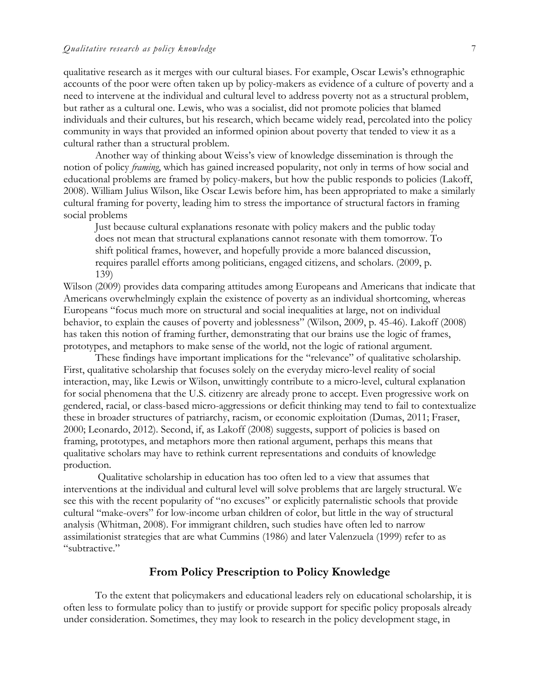qualitative research as it merges with our cultural biases. For example, Oscar Lewis's ethnographic accounts of the poor were often taken up by policy-makers as evidence of a culture of poverty and a need to intervene at the individual and cultural level to address poverty not as a structural problem, but rather as a cultural one. Lewis, who was a socialist, did not promote policies that blamed individuals and their cultures, but his research, which became widely read, percolated into the policy community in ways that provided an informed opinion about poverty that tended to view it as a cultural rather than a structural problem.

Another way of thinking about Weiss's view of knowledge dissemination is through the notion of policy *framing*, which has gained increased popularity, not only in terms of how social and educational problems are framed by policy-makers, but how the public responds to policies (Lakoff, 2008). William Julius Wilson, like Oscar Lewis before him, has been appropriated to make a similarly cultural framing for poverty, leading him to stress the importance of structural factors in framing social problems

Just because cultural explanations resonate with policy makers and the public today does not mean that structural explanations cannot resonate with them tomorrow. To shift political frames, however, and hopefully provide a more balanced discussion, requires parallel efforts among politicians, engaged citizens, and scholars. (2009, p. 139)

Wilson (2009) provides data comparing attitudes among Europeans and Americans that indicate that Americans overwhelmingly explain the existence of poverty as an individual shortcoming, whereas Europeans "focus much more on structural and social inequalities at large, not on individual behavior, to explain the causes of poverty and joblessness" (Wilson, 2009, p. 45-46). Lakoff (2008) has taken this notion of framing further, demonstrating that our brains use the logic of frames, prototypes, and metaphors to make sense of the world, not the logic of rational argument.

These findings have important implications for the "relevance" of qualitative scholarship. First, qualitative scholarship that focuses solely on the everyday micro-level reality of social interaction, may, like Lewis or Wilson, unwittingly contribute to a micro-level, cultural explanation for social phenomena that the U.S. citizenry are already prone to accept. Even progressive work on gendered, racial, or class-based micro-aggressions or deficit thinking may tend to fail to contextualize these in broader structures of patriarchy, racism, or economic exploitation (Dumas, 2011; Fraser, 2000; Leonardo, 2012). Second, if, as Lakoff (2008) suggests, support of policies is based on framing, prototypes, and metaphors more then rational argument, perhaps this means that qualitative scholars may have to rethink current representations and conduits of knowledge production.

Qualitative scholarship in education has too often led to a view that assumes that interventions at the individual and cultural level will solve problems that are largely structural. We see this with the recent popularity of "no excuses" or explicitly paternalistic schools that provide cultural "make-overs" for low-income urban children of color, but little in the way of structural analysis (Whitman, 2008). For immigrant children, such studies have often led to narrow assimilationist strategies that are what Cummins (1986) and later Valenzuela (1999) refer to as "subtractive."

#### **From Policy Prescription to Policy Knowledge**

To the extent that policymakers and educational leaders rely on educational scholarship, it is often less to formulate policy than to justify or provide support for specific policy proposals already under consideration. Sometimes, they may look to research in the policy development stage, in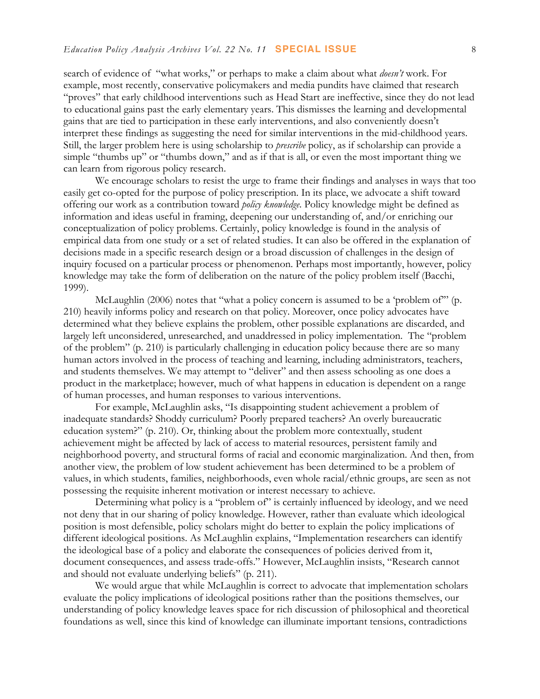search of evidence of "what works," or perhaps to make a claim about what *doesn't* work. For example, most recently, conservative policymakers and media pundits have claimed that research "proves" that early childhood interventions such as Head Start are ineffective, since they do not lead to educational gains past the early elementary years. This dismisses the learning and developmental gains that are tied to participation in these early interventions, and also conveniently doesn't interpret these findings as suggesting the need for similar interventions in the mid-childhood years. Still, the larger problem here is using scholarship to *prescribe* policy, as if scholarship can provide a simple "thumbs up" or "thumbs down," and as if that is all, or even the most important thing we can learn from rigorous policy research.

We encourage scholars to resist the urge to frame their findings and analyses in ways that too easily get co-opted for the purpose of policy prescription. In its place, we advocate a shift toward offering our work as a contribution toward *policy knowledge*. Policy knowledge might be defined as information and ideas useful in framing, deepening our understanding of, and/or enriching our conceptualization of policy problems. Certainly, policy knowledge is found in the analysis of empirical data from one study or a set of related studies. It can also be offered in the explanation of decisions made in a specific research design or a broad discussion of challenges in the design of inquiry focused on a particular process or phenomenon. Perhaps most importantly, however, policy knowledge may take the form of deliberation on the nature of the policy problem itself (Bacchi, 1999).

McLaughlin (2006) notes that "what a policy concern is assumed to be a 'problem of" (p. 210) heavily informs policy and research on that policy. Moreover, once policy advocates have determined what they believe explains the problem, other possible explanations are discarded, and largely left unconsidered, unresearched, and unaddressed in policy implementation. The "problem of the problem" (p. 210) is particularly challenging in education policy because there are so many human actors involved in the process of teaching and learning, including administrators, teachers, and students themselves. We may attempt to "deliver" and then assess schooling as one does a product in the marketplace; however, much of what happens in education is dependent on a range of human processes, and human responses to various interventions.

For example, McLaughlin asks, "Is disappointing student achievement a problem of inadequate standards? Shoddy curriculum? Poorly prepared teachers? An overly bureaucratic education system?" (p. 210). Or, thinking about the problem more contextually, student achievement might be affected by lack of access to material resources, persistent family and neighborhood poverty, and structural forms of racial and economic marginalization. And then, from another view, the problem of low student achievement has been determined to be a problem of values, in which students, families, neighborhoods, even whole racial/ethnic groups, are seen as not possessing the requisite inherent motivation or interest necessary to achieve.

Determining what policy is a "problem of" is certainly influenced by ideology, and we need not deny that in our sharing of policy knowledge. However, rather than evaluate which ideological position is most defensible, policy scholars might do better to explain the policy implications of different ideological positions. As McLaughlin explains, "Implementation researchers can identify the ideological base of a policy and elaborate the consequences of policies derived from it, document consequences, and assess trade-offs." However, McLaughlin insists, "Research cannot and should not evaluate underlying beliefs" (p. 211).

We would argue that while McLaughlin is correct to advocate that implementation scholars evaluate the policy implications of ideological positions rather than the positions themselves, our understanding of policy knowledge leaves space for rich discussion of philosophical and theoretical foundations as well, since this kind of knowledge can illuminate important tensions, contradictions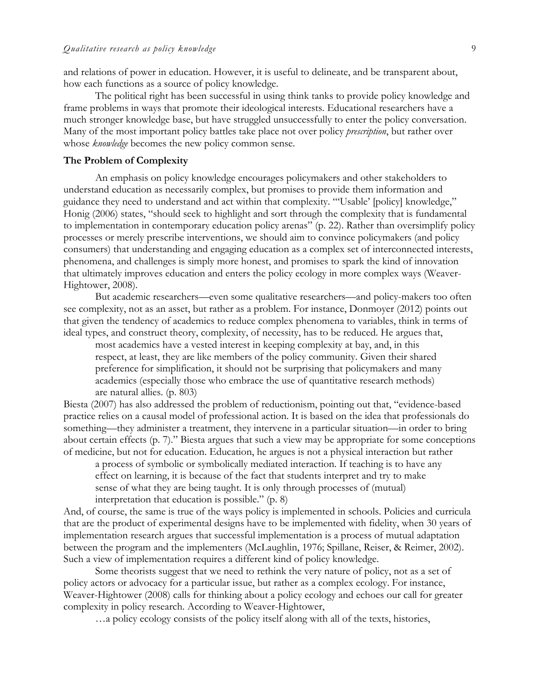and relations of power in education. However, it is useful to delineate, and be transparent about, how each functions as a source of policy knowledge.

The political right has been successful in using think tanks to provide policy knowledge and frame problems in ways that promote their ideological interests. Educational researchers have a much stronger knowledge base, but have struggled unsuccessfully to enter the policy conversation. Many of the most important policy battles take place not over policy *prescription*, but rather over whose *knowledge* becomes the new policy common sense.

#### **The Problem of Complexity**

An emphasis on policy knowledge encourages policymakers and other stakeholders to understand education as necessarily complex, but promises to provide them information and guidance they need to understand and act within that complexity. "'Usable' [policy] knowledge," Honig (2006) states, "should seek to highlight and sort through the complexity that is fundamental to implementation in contemporary education policy arenas" (p. 22). Rather than oversimplify policy processes or merely prescribe interventions, we should aim to convince policymakers (and policy consumers) that understanding and engaging education as a complex set of interconnected interests, phenomena, and challenges is simply more honest, and promises to spark the kind of innovation that ultimately improves education and enters the policy ecology in more complex ways (Weaver-Hightower, 2008).

But academic researchers—even some qualitative researchers—and policy-makers too often see complexity, not as an asset, but rather as a problem. For instance, Donmoyer (2012) points out that given the tendency of academics to reduce complex phenomena to variables, think in terms of ideal types, and construct theory, complexity, of necessity, has to be reduced. He argues that,

most academics have a vested interest in keeping complexity at bay, and, in this respect, at least, they are like members of the policy community. Given their shared preference for simplification, it should not be surprising that policymakers and many academics (especially those who embrace the use of quantitative research methods) are natural allies. (p. 803)

Biesta (2007) has also addressed the problem of reductionism, pointing out that, "evidence-based practice relies on a causal model of professional action. It is based on the idea that professionals do something—they administer a treatment, they intervene in a particular situation—in order to bring about certain effects (p. 7)." Biesta argues that such a view may be appropriate for some conceptions of medicine, but not for education. Education, he argues is not a physical interaction but rather

a process of symbolic or symbolically mediated interaction. If teaching is to have any effect on learning, it is because of the fact that students interpret and try to make sense of what they are being taught. It is only through processes of (mutual) interpretation that education is possible." (p. 8)

And, of course, the same is true of the ways policy is implemented in schools. Policies and curricula that are the product of experimental designs have to be implemented with fidelity, when 30 years of implementation research argues that successful implementation is a process of mutual adaptation between the program and the implementers (McLaughlin, 1976; Spillane, Reiser, & Reimer, 2002). Such a view of implementation requires a different kind of policy knowledge.

Some theorists suggest that we need to rethink the very nature of policy, not as a set of policy actors or advocacy for a particular issue, but rather as a complex ecology. For instance, Weaver-Hightower (2008) calls for thinking about a policy ecology and echoes our call for greater complexity in policy research. According to Weaver-Hightower,

…a policy ecology consists of the policy itself along with all of the texts, histories,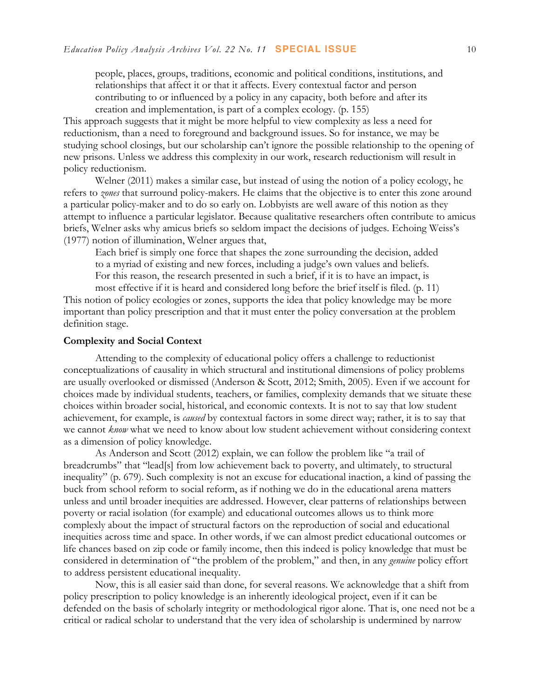people, places, groups, traditions, economic and political conditions, institutions, and relationships that affect it or that it affects. Every contextual factor and person contributing to or influenced by a policy in any capacity, both before and after its creation and implementation, is part of a complex ecology. (p. 155)

This approach suggests that it might be more helpful to view complexity as less a need for reductionism, than a need to foreground and background issues. So for instance, we may be studying school closings, but our scholarship can't ignore the possible relationship to the opening of new prisons. Unless we address this complexity in our work, research reductionism will result in policy reductionism.

Welner (2011) makes a similar case, but instead of using the notion of a policy ecology, he refers to *zones* that surround policy-makers. He claims that the objective is to enter this zone around a particular policy-maker and to do so early on. Lobbyists are well aware of this notion as they attempt to influence a particular legislator. Because qualitative researchers often contribute to amicus briefs, Welner asks why amicus briefs so seldom impact the decisions of judges. Echoing Weiss's (1977) notion of illumination, Welner argues that,

Each brief is simply one force that shapes the zone surrounding the decision, added to a myriad of existing and new forces, including a judge's own values and beliefs. For this reason, the research presented in such a brief, if it is to have an impact, is most effective if it is heard and considered long before the brief itself is filed. (p. 11)

This notion of policy ecologies or zones, supports the idea that policy knowledge may be more important than policy prescription and that it must enter the policy conversation at the problem definition stage.

#### **Complexity and Social Context**

Attending to the complexity of educational policy offers a challenge to reductionist conceptualizations of causality in which structural and institutional dimensions of policy problems are usually overlooked or dismissed (Anderson & Scott, 2012; Smith, 2005). Even if we account for choices made by individual students, teachers, or families, complexity demands that we situate these choices within broader social, historical, and economic contexts. It is not to say that low student achievement, for example, is *caused* by contextual factors in some direct way; rather, it is to say that we cannot *know* what we need to know about low student achievement without considering context as a dimension of policy knowledge.

As Anderson and Scott (2012) explain, we can follow the problem like "a trail of breadcrumbs" that "lead[s] from low achievement back to poverty, and ultimately, to structural inequality" (p. 679). Such complexity is not an excuse for educational inaction, a kind of passing the buck from school reform to social reform, as if nothing we do in the educational arena matters unless and until broader inequities are addressed. However, clear patterns of relationships between poverty or racial isolation (for example) and educational outcomes allows us to think more complexly about the impact of structural factors on the reproduction of social and educational inequities across time and space. In other words, if we can almost predict educational outcomes or life chances based on zip code or family income, then this indeed is policy knowledge that must be considered in determination of "the problem of the problem," and then, in any *genuine* policy effort to address persistent educational inequality.

Now, this is all easier said than done, for several reasons. We acknowledge that a shift from policy prescription to policy knowledge is an inherently ideological project, even if it can be defended on the basis of scholarly integrity or methodological rigor alone. That is, one need not be a critical or radical scholar to understand that the very idea of scholarship is undermined by narrow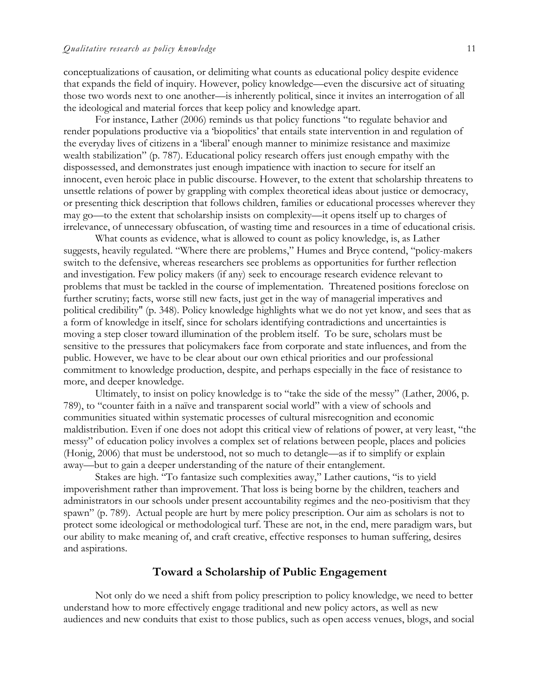conceptualizations of causation, or delimiting what counts as educational policy despite evidence that expands the field of inquiry. However, policy knowledge—even the discursive act of situating those two words next to one another—is inherently political, since it invites an interrogation of all the ideological and material forces that keep policy and knowledge apart.

For instance, Lather (2006) reminds us that policy functions "to regulate behavior and render populations productive via a 'biopolitics' that entails state intervention in and regulation of the everyday lives of citizens in a 'liberal' enough manner to minimize resistance and maximize wealth stabilization" (p. 787). Educational policy research offers just enough empathy with the dispossessed, and demonstrates just enough impatience with inaction to secure for itself an innocent, even heroic place in public discourse. However, to the extent that scholarship threatens to unsettle relations of power by grappling with complex theoretical ideas about justice or democracy, or presenting thick description that follows children, families or educational processes wherever they may go—to the extent that scholarship insists on complexity—it opens itself up to charges of irrelevance, of unnecessary obfuscation, of wasting time and resources in a time of educational crisis.

What counts as evidence, what is allowed to count as policy knowledge, is, as Lather suggests, heavily regulated. "Where there are problems," Humes and Bryce contend, "policy-makers switch to the defensive, whereas researchers see problems as opportunities for further reflection and investigation. Few policy makers (if any) seek to encourage research evidence relevant to problems that must be tackled in the course of implementation. Threatened positions foreclose on further scrutiny; facts, worse still new facts, just get in the way of managerial imperatives and political credibility" (p. 348). Policy knowledge highlights what we do not yet know, and sees that as a form of knowledge in itself, since for scholars identifying contradictions and uncertainties is moving a step closer toward illumination of the problem itself. To be sure, scholars must be sensitive to the pressures that policymakers face from corporate and state influences, and from the public. However, we have to be clear about our own ethical priorities and our professional commitment to knowledge production, despite, and perhaps especially in the face of resistance to more, and deeper knowledge.

Ultimately, to insist on policy knowledge is to "take the side of the messy" (Lather, 2006, p. 789), to "counter faith in a naïve and transparent social world" with a view of schools and communities situated within systematic processes of cultural misrecognition and economic maldistribution. Even if one does not adopt this critical view of relations of power, at very least, "the messy" of education policy involves a complex set of relations between people, places and policies (Honig, 2006) that must be understood, not so much to detangle—as if to simplify or explain away—but to gain a deeper understanding of the nature of their entanglement.

Stakes are high. "To fantasize such complexities away," Lather cautions, "is to yield impoverishment rather than improvement. That loss is being borne by the children, teachers and administrators in our schools under present accountability regimes and the neo-positivism that they spawn" (p. 789). Actual people are hurt by mere policy prescription. Our aim as scholars is not to protect some ideological or methodological turf. These are not, in the end, mere paradigm wars, but our ability to make meaning of, and craft creative, effective responses to human suffering, desires and aspirations.

#### **Toward a Scholarship of Public Engagement**

Not only do we need a shift from policy prescription to policy knowledge, we need to better understand how to more effectively engage traditional and new policy actors, as well as new audiences and new conduits that exist to those publics, such as open access venues, blogs, and social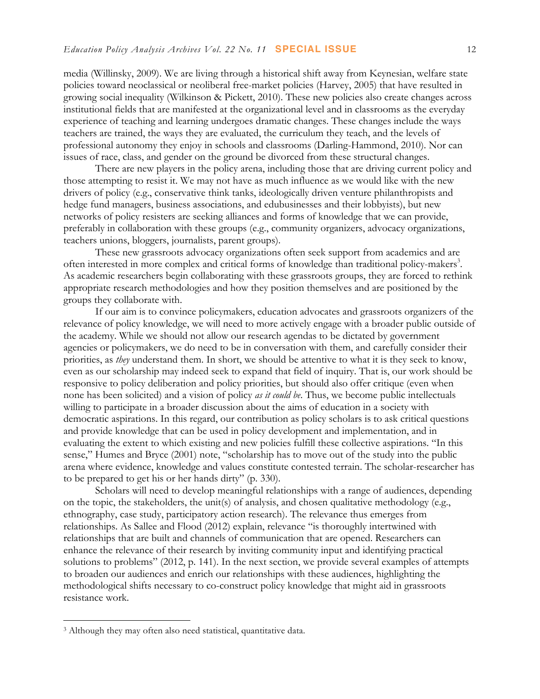media (Willinsky, 2009). We are living through a historical shift away from Keynesian, welfare state policies toward neoclassical or neoliberal free-market policies (Harvey, 2005) that have resulted in growing social inequality (Wilkinson & Pickett, 2010). These new policies also create changes across institutional fields that are manifested at the organizational level and in classrooms as the everyday experience of teaching and learning undergoes dramatic changes. These changes include the ways teachers are trained, the ways they are evaluated, the curriculum they teach, and the levels of professional autonomy they enjoy in schools and classrooms (Darling-Hammond, 2010). Nor can issues of race, class, and gender on the ground be divorced from these structural changes.

There are new players in the policy arena, including those that are driving current policy and those attempting to resist it. We may not have as much influence as we would like with the new drivers of policy (e.g., conservative think tanks, ideologically driven venture philanthropists and hedge fund managers, business associations, and edubusinesses and their lobbyists), but new networks of policy resisters are seeking alliances and forms of knowledge that we can provide, preferably in collaboration with these groups (e.g., community organizers, advocacy organizations, teachers unions, bloggers, journalists, parent groups).

These new grassroots advocacy organizations often seek support from academics and are often interested in more complex and critical forms of knowledge than traditional policy-makers<sup>3</sup>. As academic researchers begin collaborating with these grassroots groups, they are forced to rethink appropriate research methodologies and how they position themselves and are positioned by the groups they collaborate with.

If our aim is to convince policymakers, education advocates and grassroots organizers of the relevance of policy knowledge, we will need to more actively engage with a broader public outside of the academy. While we should not allow our research agendas to be dictated by government agencies or policymakers, we do need to be in conversation with them, and carefully consider their priorities, as *they* understand them. In short, we should be attentive to what it is they seek to know, even as our scholarship may indeed seek to expand that field of inquiry. That is, our work should be responsive to policy deliberation and policy priorities, but should also offer critique (even when none has been solicited) and a vision of policy *as it could be*. Thus, we become public intellectuals willing to participate in a broader discussion about the aims of education in a society with democratic aspirations. In this regard, our contribution as policy scholars is to ask critical questions and provide knowledge that can be used in policy development and implementation, and in evaluating the extent to which existing and new policies fulfill these collective aspirations. "In this sense," Humes and Bryce (2001) note, "scholarship has to move out of the study into the public arena where evidence, knowledge and values constitute contested terrain. The scholar-researcher has to be prepared to get his or her hands dirty" (p. 330).

Scholars will need to develop meaningful relationships with a range of audiences, depending on the topic, the stakeholders, the unit(s) of analysis, and chosen qualitative methodology (e.g., ethnography, case study, participatory action research). The relevance thus emerges from relationships. As Sallee and Flood (2012) explain, relevance "is thoroughly intertwined with relationships that are built and channels of communication that are opened. Researchers can enhance the relevance of their research by inviting community input and identifying practical solutions to problems" (2012, p. 141). In the next section, we provide several examples of attempts to broaden our audiences and enrich our relationships with these audiences, highlighting the methodological shifts necessary to co-construct policy knowledge that might aid in grassroots resistance work.

 

<sup>3</sup> Although they may often also need statistical, quantitative data.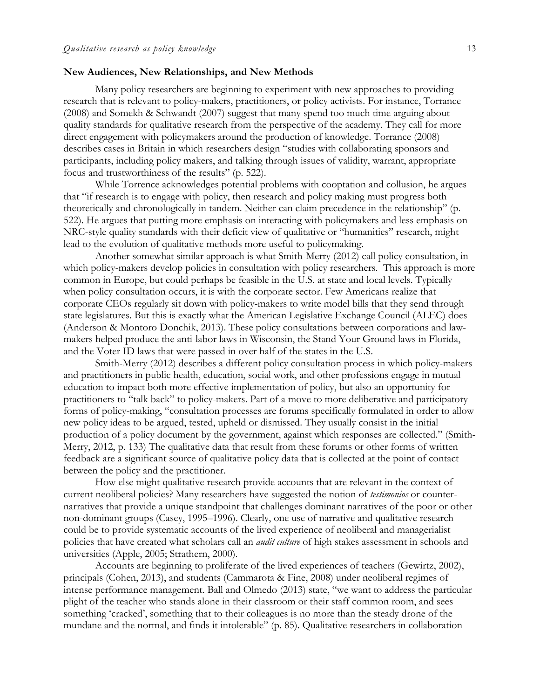#### **New Audiences, New Relationships, and New Methods**

Many policy researchers are beginning to experiment with new approaches to providing research that is relevant to policy-makers, practitioners, or policy activists. For instance, Torrance (2008) and Somekh & Schwandt (2007) suggest that many spend too much time arguing about quality standards for qualitative research from the perspective of the academy. They call for more direct engagement with policymakers around the production of knowledge. Torrance (2008) describes cases in Britain in which researchers design "studies with collaborating sponsors and participants, including policy makers, and talking through issues of validity, warrant, appropriate focus and trustworthiness of the results" (p. 522).

While Torrence acknowledges potential problems with cooptation and collusion, he argues that "if research is to engage with policy, then research and policy making must progress both theoretically and chronologically in tandem. Neither can claim precedence in the relationship" (p. 522). He argues that putting more emphasis on interacting with policymakers and less emphasis on NRC-style quality standards with their deficit view of qualitative or "humanities" research, might lead to the evolution of qualitative methods more useful to policymaking.

Another somewhat similar approach is what Smith-Merry (2012) call policy consultation, in which policy-makers develop policies in consultation with policy researchers. This approach is more common in Europe, but could perhaps be feasible in the U.S. at state and local levels. Typically when policy consultation occurs, it is with the corporate sector. Few Americans realize that corporate CEOs regularly sit down with policy-makers to write model bills that they send through state legislatures. But this is exactly what the American Legislative Exchange Council (ALEC) does (Anderson & Montoro Donchik, 2013). These policy consultations between corporations and lawmakers helped produce the anti-labor laws in Wisconsin, the Stand Your Ground laws in Florida, and the Voter ID laws that were passed in over half of the states in the U.S.

Smith-Merry (2012) describes a different policy consultation process in which policy-makers and practitioners in public health, education, social work, and other professions engage in mutual education to impact both more effective implementation of policy, but also an opportunity for practitioners to "talk back" to policy-makers. Part of a move to more deliberative and participatory forms of policy-making, "consultation processes are forums specifically formulated in order to allow new policy ideas to be argued, tested, upheld or dismissed. They usually consist in the initial production of a policy document by the government, against which responses are collected." (Smith-Merry, 2012, p. 133) The qualitative data that result from these forums or other forms of written feedback are a significant source of qualitative policy data that is collected at the point of contact between the policy and the practitioner.

How else might qualitative research provide accounts that are relevant in the context of current neoliberal policies? Many researchers have suggested the notion of *testimonios* or counternarratives that provide a unique standpoint that challenges dominant narratives of the poor or other non-dominant groups (Casey, 1995–1996). Clearly, one use of narrative and qualitative research could be to provide systematic accounts of the lived experience of neoliberal and managerialist policies that have created what scholars call an *audit culture* of high stakes assessment in schools and universities (Apple, 2005; Strathern, 2000).

Accounts are beginning to proliferate of the lived experiences of teachers (Gewirtz, 2002), principals (Cohen, 2013), and students (Cammarota & Fine, 2008) under neoliberal regimes of intense performance management. Ball and Olmedo (2013) state, "we want to address the particular plight of the teacher who stands alone in their classroom or their staff common room, and sees something 'cracked', something that to their colleagues is no more than the steady drone of the mundane and the normal, and finds it intolerable" (p. 85). Qualitative researchers in collaboration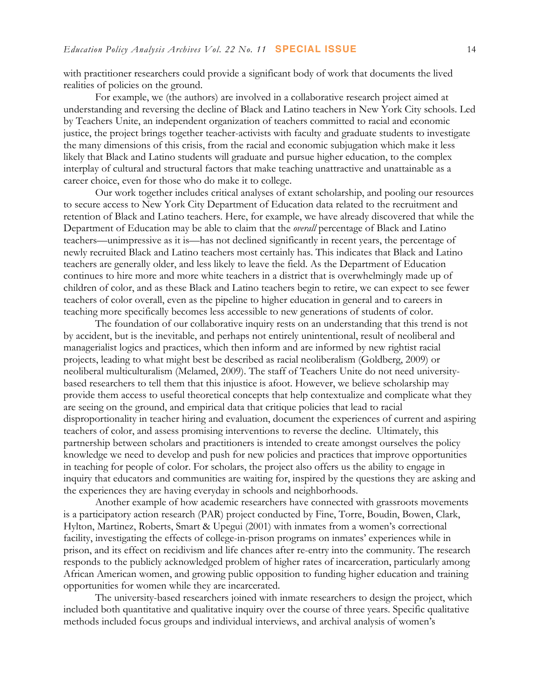with practitioner researchers could provide a significant body of work that documents the lived realities of policies on the ground.

For example, we (the authors) are involved in a collaborative research project aimed at understanding and reversing the decline of Black and Latino teachers in New York City schools. Led by Teachers Unite, an independent organization of teachers committed to racial and economic justice, the project brings together teacher-activists with faculty and graduate students to investigate the many dimensions of this crisis, from the racial and economic subjugation which make it less likely that Black and Latino students will graduate and pursue higher education, to the complex interplay of cultural and structural factors that make teaching unattractive and unattainable as a career choice, even for those who do make it to college.

Our work together includes critical analyses of extant scholarship, and pooling our resources to secure access to New York City Department of Education data related to the recruitment and retention of Black and Latino teachers. Here, for example, we have already discovered that while the Department of Education may be able to claim that the *overall* percentage of Black and Latino teachers—unimpressive as it is—has not declined significantly in recent years, the percentage of newly recruited Black and Latino teachers most certainly has. This indicates that Black and Latino teachers are generally older, and less likely to leave the field. As the Department of Education continues to hire more and more white teachers in a district that is overwhelmingly made up of children of color, and as these Black and Latino teachers begin to retire, we can expect to see fewer teachers of color overall, even as the pipeline to higher education in general and to careers in teaching more specifically becomes less accessible to new generations of students of color.

The foundation of our collaborative inquiry rests on an understanding that this trend is not by accident, but is the inevitable, and perhaps not entirely unintentional, result of neoliberal and managerialist logics and practices, which then inform and are informed by new rightist racial projects, leading to what might best be described as racial neoliberalism (Goldberg, 2009) or neoliberal multiculturalism (Melamed, 2009). The staff of Teachers Unite do not need universitybased researchers to tell them that this injustice is afoot. However, we believe scholarship may provide them access to useful theoretical concepts that help contextualize and complicate what they are seeing on the ground, and empirical data that critique policies that lead to racial disproportionality in teacher hiring and evaluation, document the experiences of current and aspiring teachers of color, and assess promising interventions to reverse the decline. Ultimately, this partnership between scholars and practitioners is intended to create amongst ourselves the policy knowledge we need to develop and push for new policies and practices that improve opportunities in teaching for people of color. For scholars, the project also offers us the ability to engage in inquiry that educators and communities are waiting for, inspired by the questions they are asking and the experiences they are having everyday in schools and neighborhoods.

Another example of how academic researchers have connected with grassroots movements is a participatory action research (PAR) project conducted by Fine, Torre, Boudin, Bowen, Clark, Hylton, Martinez, Roberts, Smart & Upegui (2001) with inmates from a women's correctional facility, investigating the effects of college-in-prison programs on inmates' experiences while in prison, and its effect on recidivism and life chances after re-entry into the community. The research responds to the publicly acknowledged problem of higher rates of incarceration, particularly among African American women, and growing public opposition to funding higher education and training opportunities for women while they are incarcerated.

The university-based researchers joined with inmate researchers to design the project, which included both quantitative and qualitative inquiry over the course of three years. Specific qualitative methods included focus groups and individual interviews, and archival analysis of women's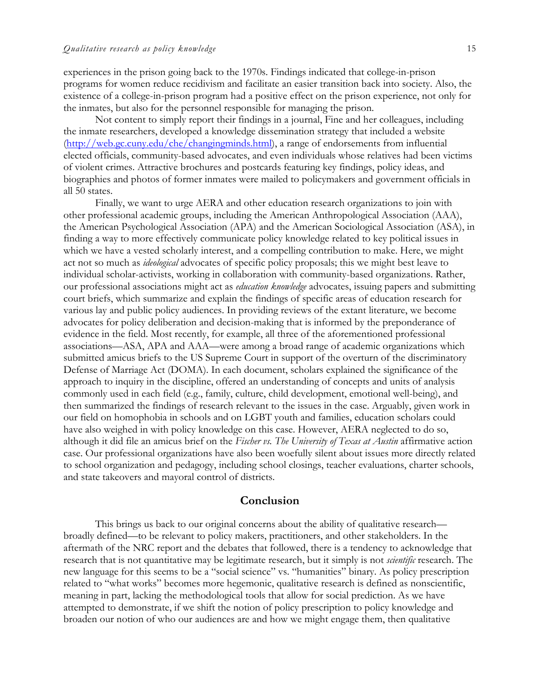experiences in the prison going back to the 1970s. Findings indicated that college-in-prison programs for women reduce recidivism and facilitate an easier transition back into society. Also, the existence of a college-in-prison program had a positive effect on the prison experience, not only for the inmates, but also for the personnel responsible for managing the prison.

Not content to simply report their findings in a journal, Fine and her colleagues, including the inmate researchers, developed a knowledge dissemination strategy that included a website (http://web.gc.cuny.edu/che/changingminds.html), a range of endorsements from influential elected officials, community-based advocates, and even individuals whose relatives had been victims of violent crimes. Attractive brochures and postcards featuring key findings, policy ideas, and biographies and photos of former inmates were mailed to policymakers and government officials in all 50 states.

Finally, we want to urge AERA and other education research organizations to join with other professional academic groups, including the American Anthropological Association (AAA), the American Psychological Association (APA) and the American Sociological Association (ASA), in finding a way to more effectively communicate policy knowledge related to key political issues in which we have a vested scholarly interest, and a compelling contribution to make. Here, we might act not so much as *ideological* advocates of specific policy proposals; this we might best leave to individual scholar-activists, working in collaboration with community-based organizations. Rather, our professional associations might act as *education knowledge* advocates, issuing papers and submitting court briefs, which summarize and explain the findings of specific areas of education research for various lay and public policy audiences. In providing reviews of the extant literature, we become advocates for policy deliberation and decision-making that is informed by the preponderance of evidence in the field. Most recently, for example, all three of the aforementioned professional associations—ASA, APA and AAA—were among a broad range of academic organizations which submitted amicus briefs to the US Supreme Court in support of the overturn of the discriminatory Defense of Marriage Act (DOMA). In each document, scholars explained the significance of the approach to inquiry in the discipline, offered an understanding of concepts and units of analysis commonly used in each field (e.g., family, culture, child development, emotional well-being), and then summarized the findings of research relevant to the issues in the case. Arguably, given work in our field on homophobia in schools and on LGBT youth and families, education scholars could have also weighed in with policy knowledge on this case. However, AERA neglected to do so, although it did file an amicus brief on the *Fischer vs. The University of Texas at Austin* affirmative action case. Our professional organizations have also been woefully silent about issues more directly related to school organization and pedagogy, including school closings, teacher evaluations, charter schools, and state takeovers and mayoral control of districts.

#### **Conclusion**

This brings us back to our original concerns about the ability of qualitative research broadly defined—to be relevant to policy makers, practitioners, and other stakeholders. In the aftermath of the NRC report and the debates that followed, there is a tendency to acknowledge that research that is not quantitative may be legitimate research, but it simply is not *scientific* research. The new language for this seems to be a "social science" vs. "humanities" binary. As policy prescription related to "what works" becomes more hegemonic, qualitative research is defined as nonscientific, meaning in part, lacking the methodological tools that allow for social prediction. As we have attempted to demonstrate, if we shift the notion of policy prescription to policy knowledge and broaden our notion of who our audiences are and how we might engage them, then qualitative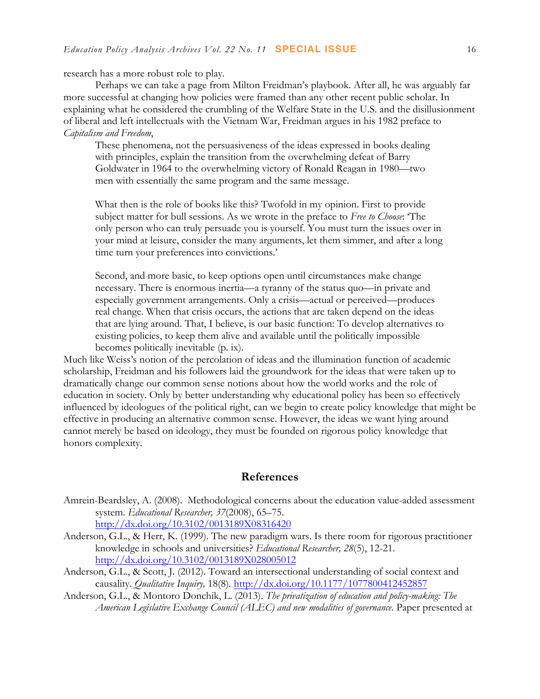research has a more robust role to play.

Perhaps we can take a page from Milton Freidman's playbook. After all, he was arguably far more successful at changing how policies were framed than any other recent public scholar. In explaining what he considered the crumbling of the Welfare State in the U.S. and the disillusionment of liberal and left intellectuals with the Vietnam War, Freidman argues in his 1982 preface to *Capitalism and Freedom*,

These phenomena, not the persuasiveness of the ideas expressed in books dealing with principles, explain the transition from the overwhelming defeat of Barry Goldwater in 1964 to the overwhelming victory of Ronald Reagan in 1980—two men with essentially the same program and the same message.

What then is the role of books like this? Twofold in my opinion. First to provide subject matter for bull sessions. As we wrote in the preface to *Free to Choose*: 'The only person who can truly persuade you is yourself. You must turn the issues over in your mind at leisure, consider the many arguments, let them simmer, and after a long time turn your preferences into convictions.'

Second, and more basic, to keep options open until circumstances make change necessary. There is enormous inertia—a tyranny of the status quo—in private and especially government arrangements. Only a crisis—actual or perceived—produces real change. When that crisis occurs, the actions that are taken depend on the ideas that are lying around. That, I believe, is our basic function: To develop alternatives to existing policies, to keep them alive and available until the politically impossible becomes politically inevitable (p. ix).

Much like Weiss's notion of the percolation of ideas and the illumination function of academic scholarship, Freidman and his followers laid the groundwork for the ideas that were taken up to dramatically change our common sense notions about how the world works and the role of education in society. Only by better understanding why educational policy has been so effectively influenced by ideologues of the political right, can we begin to create policy knowledge that might be effective in producing an alternative common sense. However, the ideas we want lying around cannot merely be based on ideology, they must be founded on rigorous policy knowledge that honors complexity.

#### **References**

- Amrein-Beardsley, A. (2008). Methodological concerns about the education value-added assessment system. *Educational Researcher, 37*(2008), 65–75. http://dx.doi.org/10.3102/0013189X08316420
- Anderson, G.L., & Herr, K. (1999). The new paradigm wars. Is there room for rigorous practitioner knowledge in schools and universities? *Educational Researcher, 28*(5), 12-21. http://dx.doi.org/10.3102/0013189X028005012
- Anderson, G.L., & Scott, J. (2012). Toward an intersectional understanding of social context and causality. *Qualitative Inquiry,* 18(8)*.* http://dx.doi.org/10.1177/1077800412452857
- Anderson, G.L., & Montoro Donchik, L. (2013). *The privatization of education and policy-making: The American Legislative Exchange Council (ALEC) and new modalities of governance.* Paper presented at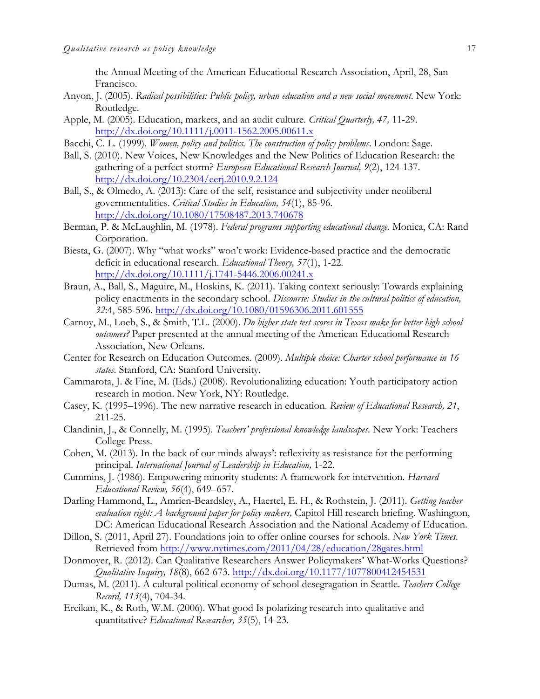the Annual Meeting of the American Educational Research Association, April, 28, San Francisco.

- Anyon, J. (2005). *Radical possibilities: Public policy, urban education and a new social movement*. New York: Routledge.
- Apple, M. (2005). Education, markets, and an audit culture. *Critical Quarterly, 47,* 11-29. http://dx.doi.org/10.1111/j.0011-1562.2005.00611.x
- Bacchi, C. L. (1999). *Women, policy and politics. The construction of policy problems*. London: Sage.
- Ball, S. (2010). New Voices, New Knowledges and the New Politics of Education Research: the gathering of a perfect storm? *European Educational Research Journal, 9*(2), 124-137. http://dx.doi.org/10.2304/eerj.2010.9.2.124
- Ball, S., & Olmedo, A. (2013): Care of the self, resistance and subjectivity under neoliberal governmentalities. *Critical Studies in Education, 54*(1), 85-96. http://dx.doi.org/10.1080/17508487.2013.740678
- Berman, P. & McLaughlin, M. (1978). *Federal programs supporting educational change.* Monica, CA: Rand Corporation.
- Biesta, G. (2007). Why "what works" won't work: Evidence-based practice and the democratic deficit in educational research. *Educational Theory, 57*(1), 1-22. http://dx.doi.org/10.1111/j.1741-5446.2006.00241.x
- Braun, A., Ball, S., Maguire, M., Hoskins, K. (2011). Taking context seriously: Towards explaining policy enactments in the secondary school. *Discourse: Studies in the cultural politics of education, 32*:4, 585-596. http://dx.doi.org/10.1080/01596306.2011.601555
- Carnoy, M., Loeb, S., & Smith, T.L. (2000). *Do higher state test scores in Texas make for better high school outcomes?* Paper presented at the annual meeting of the American Educational Research Association, New Orleans.
- Center for Research on Education Outcomes. (2009). *Multiple choice: Charter school performance in 16 states.* Stanford, CA: Stanford University.
- Cammarota, J. & Fine, M. (Eds.) (2008). Revolutionalizing education: Youth participatory action research in motion. New York, NY: Routledge.
- Casey, K. (1995–1996). The new narrative research in education. *Review of Educational Research, 21*, 211-25.
- Clandinin, J., & Connelly, M. (1995). *Teachers' professional knowledge landscapes.* New York: Teachers College Press.
- Cohen, M. (2013). In the back of our minds always': reflexivity as resistance for the performing principal. *International Journal of Leadership in Education,* 1-22.
- Cummins, J. (1986). Empowering minority students: A framework for intervention. *Harvard Educational Review, 56*(4), 649–657.
- Darling Hammond, L., Amrien-Beardsley, A., Haertel, E. H., & Rothstein, J. (2011). *Getting teacher evaluation right: A background paper for policy makers,* Capitol Hill research briefing. Washington, DC: American Educational Research Association and the National Academy of Education.
- Dillon, S. (2011, April 27). Foundations join to offer online courses for schools. *New York Times*. Retrieved from http://www.nytimes.com/2011/04/28/education/28gates.html
- Donmoyer, R. (2012). Can Qualitative Researchers Answer Policymakers' What-Works Questions? *Qualitative Inquiry, 18*(8), 662-673. http://dx.doi.org/10.1177/1077800412454531
- Dumas, M. (2011). A cultural political economy of school desegragation in Seattle. *Teachers College Record, 113*(4), 704-34.
- Ercikan, K., & Roth, W.M. (2006). What good Is polarizing research into qualitative and quantitative? *Educational Researcher, 35*(5), 14-23.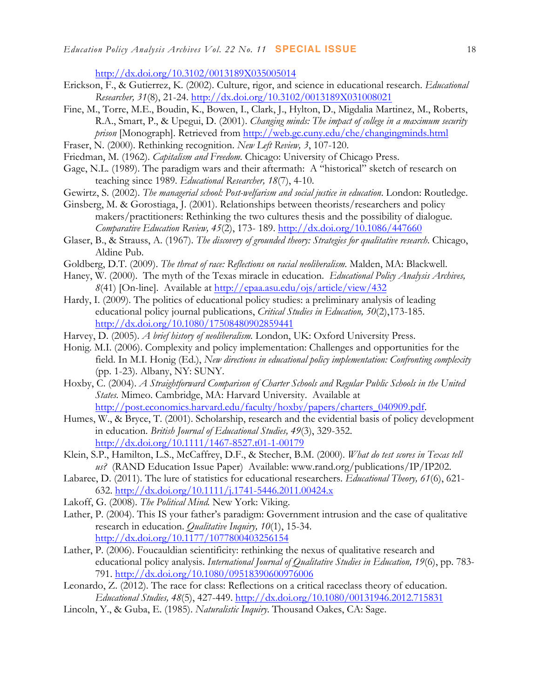http://dx.doi.org/10.3102/0013189X035005014

- Erickson, F., & Gutierrez, K. (2002). Culture, rigor, and science in educational research. *Educational Researcher, 31*(8), 21-24. http://dx.doi.org/10.3102/0013189X031008021
- Fine, M., Torre, M.E., Boudin, K., Bowen, I., Clark, J., Hylton, D., Migdalia Martinez, M., Roberts, R.A., Smart, P., & Upegui, D. (2001). *Changing minds: The impact of college in a maximum security prison* [Monograph]. Retrieved from http://web.gc.cuny.edu/che/changingminds.html
- Fraser, N. (2000). Rethinking recognition. *New Left Review, 3*, 107-120.
- Friedman, M. (1962). *Capitalism and Freedom.* Chicago: University of Chicago Press.
- Gage, N.L. (1989). The paradigm wars and their aftermath: A "historical" sketch of research on teaching since 1989. *Educational Researcher, 18*(7), 4-10.
- Gewirtz, S. (2002). *The managerial school: Post-welfarism and social justice in education*. London: Routledge.
- Ginsberg, M. & Gorostiaga, J. (2001). Relationships between theorists/researchers and policy makers/practitioners: Rethinking the two cultures thesis and the possibility of dialogue. *Comparative Education Review, 45*(2), 173- 189. http://dx.doi.org/10.1086/447660
- Glaser, B., & Strauss, A. (1967). *The discovery of grounded theory: Strategies for qualitative research*. Chicago, Aldine Pub.
- Goldberg, D.T. (2009). *The threat of race: Reflections on racial neoliberalism*. Malden, MA: Blackwell.
- Haney, W. (2000). The myth of the Texas miracle in education. *Educational Policy Analysis Archives, 8*(41) [On-line]. Available at http://epaa.asu.edu/ojs/article/view/432
- Hardy, I. (2009). The politics of educational policy studies: a preliminary analysis of leading educational policy journal publications, *Critical Studies in Education, 50*(2),173-185. http://dx.doi.org/10.1080/17508480902859441
- Harvey, D. (2005). *A brief history of neoliberalism.* London, UK: Oxford University Press.
- Honig. M.I. (2006). Complexity and policy implementation: Challenges and opportunities for the field. In M.I. Honig (Ed.), *New directions in educational policy implementation: Confronting complexity* (pp. 1-23). Albany, NY: SUNY.
- Hoxby, C. (2004). *A Straightforward Comparison of Charter Schools and Regular Public Schools in the United States.* Mimeo. Cambridge, MA: Harvard University. Available at http://post.economics.harvard.edu/faculty/hoxby/papers/charters\_040909.pdf.
- Humes, W., & Bryce, T. (2001). Scholarship, research and the evidential basis of policy development in education. *British Journal of Educational Studies, 49*(3), 329-352. http://dx.doi.org/10.1111/1467-8527.t01-1-00179
- Klein, S.P., Hamilton, L.S., McCaffrey, D.F., & Stecher, B.M. (2000). *What do test scores in Texas tell us?* (RAND Education Issue Paper) Available: www.rand.org/publications/IP/IP202.
- Labaree, D. (2011). The lure of statistics for educational researchers. *Educational Theory, 61*(6), 621- 632. http://dx.doi.org/10.1111/j.1741-5446.2011.00424.x
- Lakoff, G. (2008). *The Political Mind.* New York: Viking.
- Lather, P. (2004). This IS your father's paradigm: Government intrusion and the case of qualitative research in education. *Qualitative Inquiry, 10*(1), 15-34. http://dx.doi.org/10.1177/1077800403256154
- Lather, P. (2006). Foucauldian scientificity: rethinking the nexus of qualitative research and educational policy analysis. *International Journal of Qualitative Studies in Education, 19*(6), pp. 783- 791. http://dx.doi.org/10.1080/09518390600976006
- Leonardo, Z. (2012). The race for class: Reflections on a critical raceclass theory of education. *Educational Studies, 48*(5), 427-449. http://dx.doi.org/10.1080/00131946.2012.715831
- Lincoln, Y., & Guba, E. (1985). *Naturalistic Inquiry*. Thousand Oakes, CA: Sage.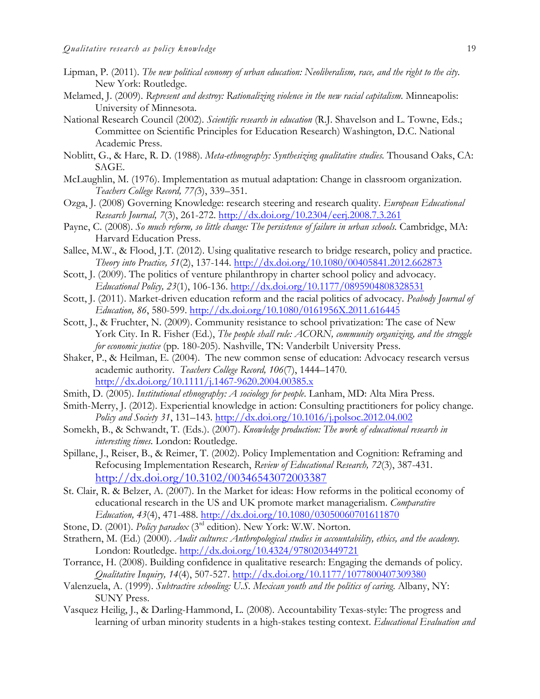- Lipman, P. (2011). *The new political economy of urban education: Neoliberalism, race, and the right to the city*. New York: Routledge.
- Melamed, J. (2009). *Represent and destroy: Rationalizing violence in the new racial capitalism*. Minneapolis: University of Minnesota.
- National Research Council (2002). *Scientific research in education* (R.J. Shavelson and L. Towne, Eds.; Committee on Scientific Principles for Education Research) Washington, D.C. National Academic Press.
- Noblitt, G., & Hare, R. D. (1988). *Meta-ethnography: Synthesizing qualitative studies.* Thousand Oaks, CA: SAGE.
- McLaughlin, M. (1976). Implementation as mutual adaptation: Change in classroom organization. *Teachers College Record, 77(*3), 339–351.
- Ozga, J. (2008) Governing Knowledge: research steering and research quality. *European Educational Research Journal, 7*(3), 261-272. http://dx.doi.org/10.2304/eerj.2008.7.3.261
- Payne, C. (2008). So much reform, so little change: The persistence of failure in urban schools. Cambridge, MA: Harvard Education Press.
- Sallee, M.W., & Flood, J.T. (2012). Using qualitative research to bridge research, policy and practice. *Theory into Practice, 51*(2), 137-144. http://dx.doi.org/10.1080/00405841.2012.662873
- Scott, J. (2009). The politics of venture philanthropy in charter school policy and advocacy. *Educational Policy, 23*(1), 106-136. http://dx.doi.org/10.1177/0895904808328531
- Scott, J. (2011). Market-driven education reform and the racial politics of advocacy. *Peabody Journal of Education, 86*, 580-599. http://dx.doi.org/10.1080/0161956X.2011.616445
- Scott, J., & Fruchter, N. (2009). Community resistance to school privatization: The case of New York City. In R. Fisher (Ed.), *The people shall rule: ACORN, community organizing, and the struggle for economic justice* (pp. 180-205). Nashville, TN: Vanderbilt University Press.
- Shaker, P., & Heilman, E. (2004). The new common sense of education: Advocacy research versus academic authority. *Teachers College Record, 106*(7), 1444–1470. http://dx.doi.org/10.1111/j.1467-9620.2004.00385.x
- Smith, D. (2005). *Institutional ethnography: A sociology for people*. Lanham, MD: Alta Mira Press.
- Smith-Merry, J. (2012). Experiential knowledge in action: Consulting practitioners for policy change. *Policy and Society 31*, 131–143. http://dx.doi.org/10.1016/j.polsoc.2012.04.002
- Somekh, B., & Schwandt, T. (Eds.). (2007). *Knowledge production: The work of educational research in interesting times.* London: Routledge.
- Spillane, J., Reiser, B., & Reimer, T. (2002). Policy Implementation and Cognition: Reframing and Refocusing Implementation Research, *Review of Educational Research, 72*(3), 387-431. http://dx.doi.org/10.3102/00346543072003387
- St. Clair, R. & Belzer, A. (2007). In the Market for ideas: How reforms in the political economy of educational research in the US and UK promote market managerialism. *Comparative Education, 43*(4), 471-488. http://dx.doi.org/10.1080/03050060701611870
- Stone, D. (2001). *Policy paradox* (3<sup>rd</sup> edition). New York: W.W. Norton.
- Strathern, M. (Ed.) (2000). *Audit cultures: Anthropological studies in accountability, ethics, and the academy.* London: Routledge. http://dx.doi.org/10.4324/9780203449721
- Torrance, H. (2008). Building confidence in qualitative research: Engaging the demands of policy. *Qualitative Inquiry, 14*(4), 507-527. http://dx.doi.org/10.1177/1077800407309380
- Valenzuela, A. (1999). *Subtractive schooling: U.S. Mexican youth and the politics of caring*. Albany, NY: SUNY Press.
- Vasquez Heilig, J., & Darling-Hammond, L. (2008). Accountability Texas-style: The progress and learning of urban minority students in a high-stakes testing context. *Educational Evaluation and*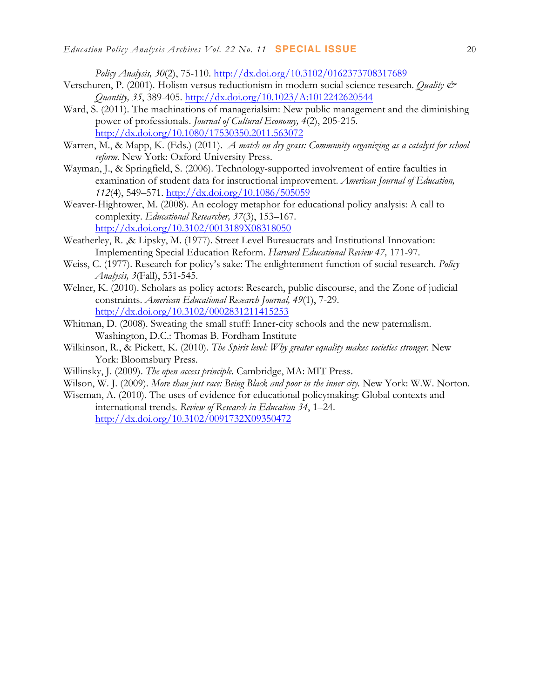*Policy Analysis, 30*(2), 75-110. http://dx.doi.org/10.3102/0162373708317689

- Verschuren, P. (2001). Holism versus reductionism in modern social science research. *Quality & Quantity, 35*, 389-405. http://dx.doi.org/10.1023/A:1012242620544
- Ward, S. (2011). The machinations of managerialsim: New public management and the diminishing power of professionals. *Journal of Cultural Economy, 4*(2), 205-215. http://dx.doi.org/10.1080/17530350.2011.563072
- Warren, M., & Mapp, K. (Eds.) (2011). *A match on dry grass: Community organizing as a catalyst for school reform.* New York: Oxford University Press.
- Wayman, J., & Springfield, S. (2006). Technology-supported involvement of entire faculties in examination of student data for instructional improvement. *American Journal of Education, 112*(4), 549–571. http://dx.doi.org/10.1086/505059
- Weaver-Hightower, M. (2008). An ecology metaphor for educational policy analysis: A call to complexity. *Educational Researcher, 37*(3), 153–167. http://dx.doi.org/10.3102/0013189X08318050
- Weatherley, R. ,& Lipsky, M. (1977). Street Level Bureaucrats and Institutional Innovation: Implementing Special Education Reform. *Harvard Educational Review 47,* 171-97.
- Weiss, C. (1977). Research for policy's sake: The enlightenment function of social research. *Policy Analysis, 3*(Fall), 531-545.
- Welner, K. (2010). Scholars as policy actors: Research, public discourse, and the Zone of judicial constraints. *American Educational Research Journal, 49*(1), 7-29. http://dx.doi.org/10.3102/0002831211415253
- Whitman, D. (2008). Sweating the small stuff: Inner-city schools and the new paternalism. Washington, D.C.: Thomas B. Fordham Institute
- Wilkinson, R., & Pickett, K. (2010). *The Spirit level: Why greater equality makes societies stronger.* New York: Bloomsbury Press.
- Willinsky, J. (2009). *The open access principle.* Cambridge, MA: MIT Press.
- Wilson, W. J. (2009). *More than just race: Being Black and poor in the inner city*. New York: W.W. Norton.
- Wiseman, A. (2010). The uses of evidence for educational policymaking: Global contexts and international trends. *Review of Research in Education 34*, 1–24. http://dx.doi.org/10.3102/0091732X09350472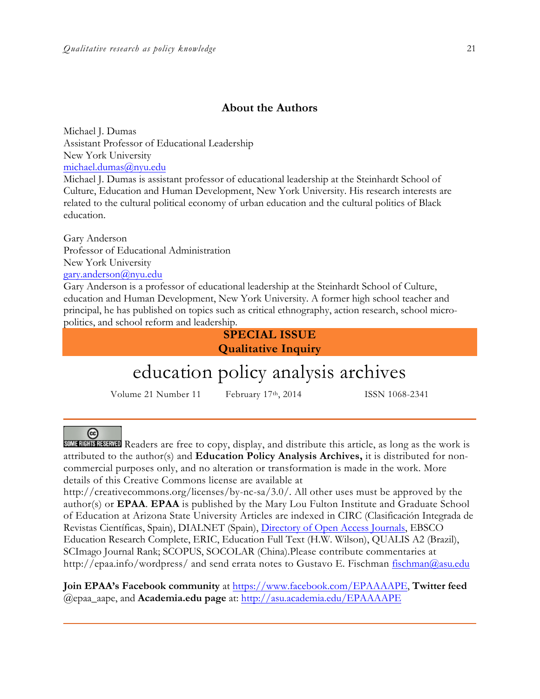### **About the Authors**

Michael J. Dumas Assistant Professor of Educational Leadership New York University michael.dumas@nyu.edu

Michael J. Dumas is assistant professor of educational leadership at the Steinhardt School of Culture, Education and Human Development, New York University. His research interests are related to the cultural political economy of urban education and the cultural politics of Black education.

Gary Anderson Professor of Educational Administration New York University gary.anderson@nyu.edu

Gary Anderson is a professor of educational leadership at the Steinhardt School of Culture, education and Human Development, New York University. A former high school teacher and principal, he has published on topics such as critical ethnography, action research, school micropolitics, and school reform and leadership.

> **SPECIAL ISSUE Qualitative Inquiry**

# education policy analysis archives

Volume 21 Number 11 February 17<sup>th</sup>, 2014 ISSN 1068-2341

#### $(c<sub>c</sub>)$

SOME RIGHTS RESERVED Readers are free to copy, display, and distribute this article, as long as the work is attributed to the author(s) and **Education Policy Analysis Archives,** it is distributed for noncommercial purposes only, and no alteration or transformation is made in the work. More details of this Creative Commons license are available at

http://creativecommons.org/licenses/by-nc-sa/3.0/. All other uses must be approved by the author(s) or **EPAA**. **EPAA** is published by the Mary Lou Fulton Institute and Graduate School of Education at Arizona State University Articles are indexed in CIRC (Clasificación Integrada de Revistas Científicas, Spain), DIALNET (Spain), Directory of Open Access Journals, EBSCO Education Research Complete, ERIC, Education Full Text (H.W. Wilson), QUALIS A2 (Brazil), SCImago Journal Rank; SCOPUS, SOCOLAR (China).Please contribute commentaries at http://epaa.info/wordpress/ and send errata notes to Gustavo E. Fischman fischman@asu.edu

**Join EPAA's Facebook community** at https://www.facebook.com/EPAAAAPE, **Twitter feed**  @epaa\_aape, and **Academia.edu page** at: http://asu.academia.edu/EPAAAAPE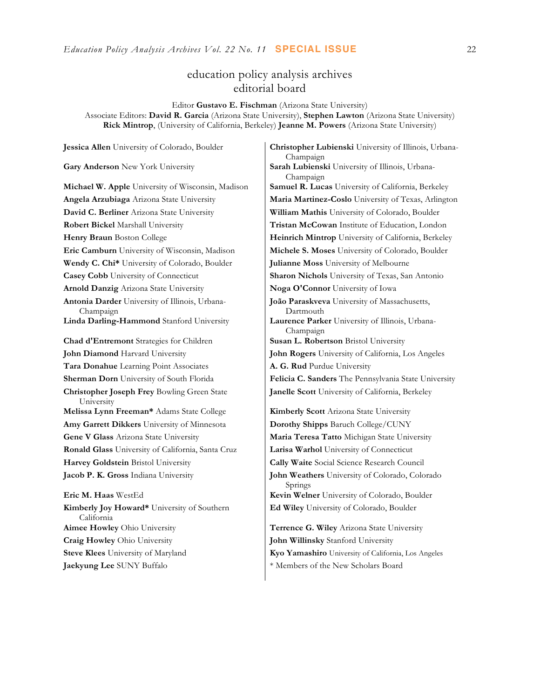### education policy analysis archives editorial board

Editor **Gustavo E. Fischman** (Arizona State University) Associate Editors: **David R. Garcia** (Arizona State University), **Stephen Lawton** (Arizona State University) **Rick Mintrop**, (University of California, Berkeley) **Jeanne M. Powers** (Arizona State University)

**Gary Anderson** New York University **Sarah Lubienski University of Illinois**, Urbana-**Michael W. Apple** University of Wisconsin, Madison **Samuel R. Lucas** University of California, Berkeley **Angela Arzubiaga** Arizona State University **Maria Martinez-Coslo** University of Texas, Arlington **David C. Berliner** Arizona State University **William Mathis** University of Colorado, Boulder **Robert Bickel** Marshall University **Tristan McCowan** Institute of Education, London **Henry Braun** Boston College **Heinrich Mintrop** University of California, Berkeley **Eric Camburn** University of Wisconsin, Madison **Michele S. Moses** University of Colorado, Boulder **Wendy C. Chi\*** University of Colorado, Boulder **Julianne Moss** University of Melbourne **Casey Cobb** University of Connecticut **Sharon Nichols** University of Texas, San Antonio **Arnold Danzig** Arizona State University **Noga O'Connor** University of Iowa **Antonia Darder** University of Illinois, Urbana-Champaign **Linda Darling-Hammond** Stanford University **Laurence Parker** University of Illinois, Urbana-**Chad d'Entremont** Strategies for Children **Susan L. Robertson** Bristol University **John Diamond** Harvard University **John Rogers** University of California, Los Angeles **Tara Donahue** Learning Point Associates **A. G. Rud** Purdue University **Sherman Dorn** University of South Florida **Felicia C. Sanders** The Pennsylvania State University **Christopher Joseph Frey** Bowling Green State University **Melissa Lynn Freeman\*** Adams State College **Kimberly Scott** Arizona State University **Amy Garrett Dikkers** University of Minnesota **Dorothy Shipps** Baruch College/CUNY **Gene V Glass** Arizona State University **Maria Teresa Tatto** Michigan State University **Ronald Glass** University of California, Santa Cruz **Larisa Warhol** University of Connecticut **Harvey Goldstein** Bristol University **Cally Waite** Social Science Research Council **Jacob P. K. Gross** Indiana University **John Weathers** University of Colorado, Colorado **Eric M. Haas** WestEd **Kevin Welner** University of Colorado, Boulder **Kimberly Joy Howard\*** University of Southern California **Aimee Howley** Ohio University **Terrence G. Wiley** Arizona State University

**Jessica Allen** University of Colorado, Boulder **Christopher Lubienski** University of Illinois, Urbana-Champaign Champaign **João Paraskveva** University of Massachusetts, Dartmouth Champaign **Janelle Scott** University of California, Berkeley Springs

**Ed Wiley** University of Colorado, Boulder

**Craig Howley** Ohio University **John Willinsky** Stanford University **Steve Klees** University of Maryland **Kyo Yamashiro** University of California, Los Angeles **Jaekyung Lee** SUNY Buffalo \* \* Members of the New Scholars Board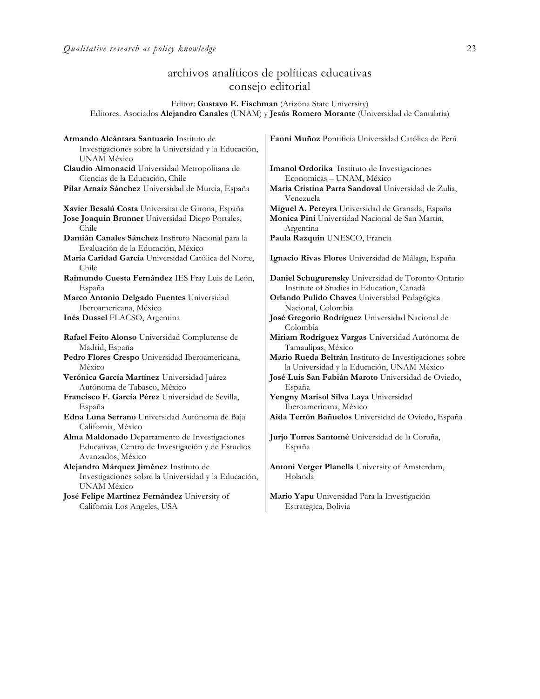## archivos analíticos de políticas educativas consejo editorial

Editor: **Gustavo E. Fischman** (Arizona State University) Editores. Asociados **Alejandro Canales** (UNAM) y **Jesús Romero Morante** (Universidad de Cantabria)

| Armando Alcántara Santuario Instituto de                                   | Fanni Muñoz Pontificia Universidad Católica de Perú                          |
|----------------------------------------------------------------------------|------------------------------------------------------------------------------|
| Investigaciones sobre la Universidad y la Educación,                       |                                                                              |
| <b>UNAM México</b>                                                         |                                                                              |
| Claudio Almonacid Universidad Metropolitana de                             | Imanol Ordorika Instituto de Investigaciones                                 |
| Ciencias de la Educación, Chile                                            | Economicas - UNAM, México                                                    |
| Pilar Arnaiz Sánchez Universidad de Murcia, España                         | Maria Cristina Parra Sandoval Universidad de Zulia,<br>Venezuela             |
| Xavier Besalú Costa Universitat de Girona, España                          | Miguel A. Pereyra Universidad de Granada, España                             |
| Jose Joaquin Brunner Universidad Diego Portales,<br>Chile                  | Monica Pini Universidad Nacional de San Martín,<br>Argentina                 |
| Damián Canales Sánchez Instituto Nacional para la                          | Paula Razquin UNESCO, Francia                                                |
| Evaluación de la Educación, México                                         |                                                                              |
| María Caridad García Universidad Católica del Norte,<br>Chile              | Ignacio Rivas Flores Universidad de Málaga, España                           |
| Raimundo Cuesta Fernández IES Fray Luis de León,                           | Daniel Schugurensky Universidad de Toronto-Ontario                           |
| España                                                                     | Institute of Studies in Education, Canadá                                    |
| Marco Antonio Delgado Fuentes Universidad                                  | Orlando Pulido Chaves Universidad Pedagógica                                 |
| Iberoamericana, México                                                     | Nacional, Colombia                                                           |
| Inés Dussel FLACSO, Argentina                                              | José Gregorio Rodríguez Universidad Nacional de<br>Colombia                  |
|                                                                            |                                                                              |
|                                                                            |                                                                              |
| Rafael Feito Alonso Universidad Complutense de                             | Miriam Rodríguez Vargas Universidad Autónoma de                              |
| Madrid, España                                                             | Tamaulipas, México                                                           |
| Pedro Flores Crespo Universidad Iberoamericana,<br>México                  | Mario Rueda Beltrán Instituto de Investigaciones sobre                       |
|                                                                            | la Universidad y la Educación, UNAM México                                   |
| Verónica García Martínez Universidad Juárez<br>Autónoma de Tabasco, México | José Luis San Fabián Maroto Universidad de Oviedo,<br>España                 |
| Francisco F. García Pérez Universidad de Sevilla,                          |                                                                              |
| España                                                                     | Yengny Marisol Silva Laya Universidad                                        |
| Edna Luna Serrano Universidad Autónoma de Baja                             | Iberoamericana, México<br>Aida Terrón Bañuelos Universidad de Oviedo, España |
| California, México                                                         |                                                                              |
| Alma Maldonado Departamento de Investigaciones                             | Jurjo Torres Santomé Universidad de la Coruña,                               |
| Educativas, Centro de Investigación y de Estudios                          | España                                                                       |
| Avanzados, México                                                          |                                                                              |
| Alejandro Márquez Jiménez Instituto de                                     | Antoni Verger Planells University of Amsterdam,                              |
| Investigaciones sobre la Universidad y la Educación,                       | Holanda                                                                      |
| UNAM México                                                                |                                                                              |
| José Felipe Martínez Fernández University of                               | Mario Yapu Universidad Para la Investigación                                 |
| California Los Angeles, USA                                                | Estratégica, Bolivia                                                         |